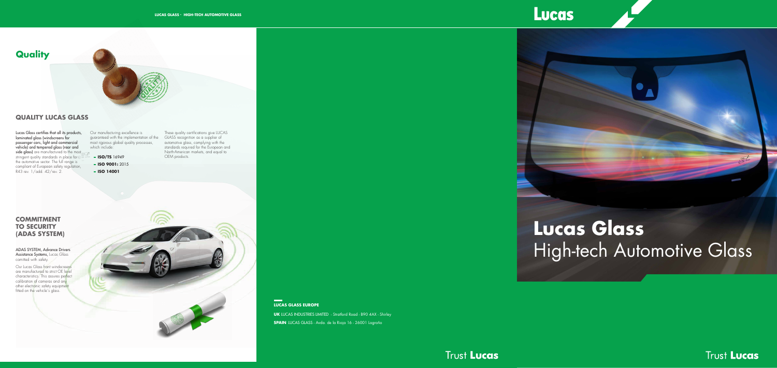#### $\mathbf{m}=\mathbf{0}$ **LUCAS GLASS EUROPE**

**UK** LUCAS INDUSTRIES LIMITED - Stratford Road - B90 4AX - Shirley **SPAIN** LUCAS GLASS - Avda. de la Rioja 16 - 26001 Logroño

## Lucas







Our manufacturing excellence is guaranteed with the implementation of the most rigorous global quality processes, which include:

Lucas Glass certifies that all its products, laminated glass (windscreens for passenger cars, light and commercial vehicle) and tempered glass (rear and side glass) are manufactured to the most stringent quality standards in place for the automotive sector. The full range is compliant of European safety regulation, R43 rev. 1/add. 42/rev. 2.

# **Lucas Glass** ADAS SYSTEM, Advance Drivers **Control** and the change of the change of the change of the change of the change of the change of the change of the change of the change of the change of the change of the change of the change



**Trust Lucas** 

Assistance Systems, Lucas Glass comitted with safety.

Our Lucas Glass front windscreens are manufactured to strict OE level characteristics. This assures perfect calibration of cameras and any other electronic safety equipment fitted on the vehicle's glass.

#### **QUALITY LUCAS GLASS**

**- ISO/TS** 16949

- **- ISO 9001:** 2015
- **- ISO 14001**

These quality certifications give LUCAS GLASS recognition as a supplier of automotive glass, complying with the standards required for the European and North-American markets, and equal to OEM products.

#### **COMMITMENT TO SECURITY (ADAS SYSTEM)**